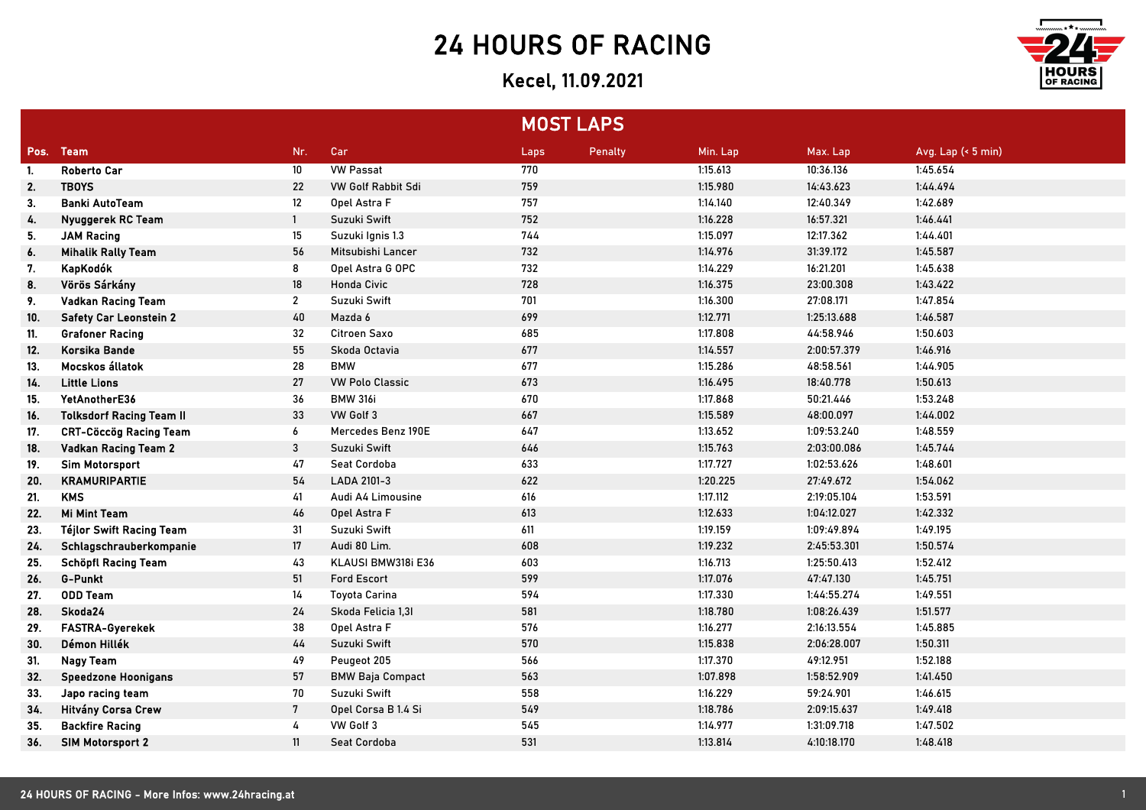## 24 HOURS OF RACING

## Kecel, 11.09.2021



|      |                                 |                 |                           | <b>MOST LAPS</b> |         |          |             |                    |
|------|---------------------------------|-----------------|---------------------------|------------------|---------|----------|-------------|--------------------|
| Pos. | <b>Team</b>                     | Nr.             | Car                       | Laps             | Penalty | Min. Lap | Max. Lap    | Avg. Lap (< 5 min) |
| -1.  | <b>Roberto Car</b>              | 10 <sup>°</sup> | <b>VW Passat</b>          | 770              |         | 1:15.613 | 10:36.136   | 1:45.654           |
| 2.   | <b>TBOYS</b>                    | 22              | <b>VW Golf Rabbit Sdi</b> | 759              |         | 1:15.980 | 14:43.623   | 1:44.494           |
| 3.   | <b>Banki AutoTeam</b>           | 12              | Opel Astra F              | 757              |         | 1:14.140 | 12:40.349   | 1:42.689           |
| 4.   | Nyuggerek RC Team               | $\mathbf{1}$    | Suzuki Swift              | 752              |         | 1:16.228 | 16:57.321   | 1:46.441           |
| 5.   | <b>JAM Racing</b>               | 15              | Suzuki Ignis 1.3          | 744              |         | 1:15.097 | 12:17.362   | 1:44.401           |
| 6.   | <b>Mihalik Rally Team</b>       | 56              | Mitsubishi Lancer         | 732              |         | 1:14.976 | 31:39.172   | 1:45.587           |
| 7.   | KapKodók                        | 8               | Opel Astra G OPC          | 732              |         | 1:14.229 | 16:21.201   | 1:45.638           |
| 8.   | Vörös Sárkány                   | 18              | <b>Honda Civic</b>        | 728              |         | 1:16.375 | 23:00.308   | 1:43.422           |
| 9.   | <b>Vadkan Racing Team</b>       | $\mathbf{2}$    | Suzuki Swift              | 701              |         | 1:16.300 | 27:08.171   | 1:47.854           |
| 10.  | <b>Safety Car Leonstein 2</b>   | 40              | Mazda 6                   | 699              |         | 1:12.771 | 1:25:13.688 | 1:46.587           |
| 11.  | <b>Grafoner Racing</b>          | 32              | Citroen Saxo              | 685              |         | 1:17.808 | 44:58.946   | 1:50.603           |
| 12.  | Korsika Bande                   | 55              | Skoda Octavia             | 677              |         | 1:14.557 | 2:00:57.379 | 1:46.916           |
| 13.  | Mocskos állatok                 | 28              | <b>BMW</b>                | 677              |         | 1:15.286 | 48:58.561   | 1:44.905           |
| 14.  | <b>Little Lions</b>             | 27              | <b>VW Polo Classic</b>    | 673              |         | 1:16.495 | 18:40.778   | 1:50.613           |
| 15.  | YetAnotherE36                   | 36              | <b>BMW 316i</b>           | 670              |         | 1:17.868 | 50:21.446   | 1:53.248           |
| 16.  | <b>Tolksdorf Racing Team II</b> | 33              | VW Golf 3                 | 667              |         | 1:15.589 | 48:00.097   | 1:44.002           |
| 17.  | <b>CRT-Cöccög Racing Team</b>   | 6               | Mercedes Benz 190E        | 647              |         | 1:13.652 | 1:09:53.240 | 1:48.559           |
| 18.  | <b>Vadkan Racing Team 2</b>     | 3               | Suzuki Swift              | 646              |         | 1:15.763 | 2:03:00.086 | 1:45.744           |
| 19.  | <b>Sim Motorsport</b>           | 47              | Seat Cordoba              | 633              |         | 1:17.727 | 1:02:53.626 | 1:48.601           |
| 20.  | <b>KRAMURIPARTIE</b>            | 54              | LADA 2101-3               | 622              |         | 1:20.225 | 27:49.672   | 1:54.062           |
| 21.  | <b>KMS</b>                      | 41              | Audi A4 Limousine         | 616              |         | 1:17.112 | 2:19:05.104 | 1:53.591           |
| 22.  | <b>Mi Mint Team</b>             | 46              | Opel Astra F              | 613              |         | 1:12.633 | 1:04:12.027 | 1:42.332           |
| 23.  | <b>Téjlor Swift Racing Team</b> | 31              | Suzuki Swift              | 611              |         | 1:19.159 | 1:09:49.894 | 1:49.195           |
| 24.  | Schlagschrauberkompanie         | $17\,$          | Audi 80 Lim.              | 608              |         | 1:19.232 | 2:45:53.301 | 1:50.574           |
| 25.  | <b>Schöpfl Racing Team</b>      | 43              | KLAUSI BMW318i E36        | 603              |         | 1:16.713 | 1:25:50.413 | 1:52.412           |
| 26.  | <b>G-Punkt</b>                  | 51              | <b>Ford Escort</b>        | 599              |         | 1:17.076 | 47:47.130   | 1:45.751           |
| 27.  | <b>ODD Team</b>                 | 14              | <b>Toyota Carina</b>      | 594              |         | 1:17.330 | 1:44:55.274 | 1:49.551           |
| 28.  | Skoda24                         | 24              | Skoda Felicia 1,31        | 581              |         | 1:18.780 | 1:08:26.439 | 1:51.577           |
| 29.  | FASTRA-Gyerekek                 | 38              | Opel Astra F              | 576              |         | 1:16.277 | 2:16:13.554 | 1:45.885           |
| 30.  | Démon Hillék                    | $44$            | Suzuki Swift              | 570              |         | 1:15.838 | 2:06:28.007 | 1:50.311           |
| 31.  | <b>Nagy Team</b>                | 49              | Peugeot 205               | 566              |         | 1:17.370 | 49:12.951   | 1:52.188           |
| 32.  | <b>Speedzone Hoonigans</b>      | 57              | <b>BMW Baja Compact</b>   | 563              |         | 1:07.898 | 1:58:52.909 | 1:41.450           |
| 33.  | Japo racing team                | 70              | Suzuki Swift              | 558              |         | 1:16.229 | 59:24.901   | 1:46.615           |
| 34.  | Hitvány Corsa Crew              | 7               | Opel Corsa B 1.4 Si       | 549              |         | 1:18.786 | 2:09:15.637 | 1:49.418           |
| 35.  | <b>Backfire Racing</b>          | 4               | VW Golf 3                 | 545              |         | 1:14.977 | 1:31:09.718 | 1:47.502           |
| 36.  | <b>SIM Motorsport 2</b>         | 11              | <b>Seat Cordoba</b>       | 531              |         | 1:13.814 | 4:10:18.170 | 1:48.418           |